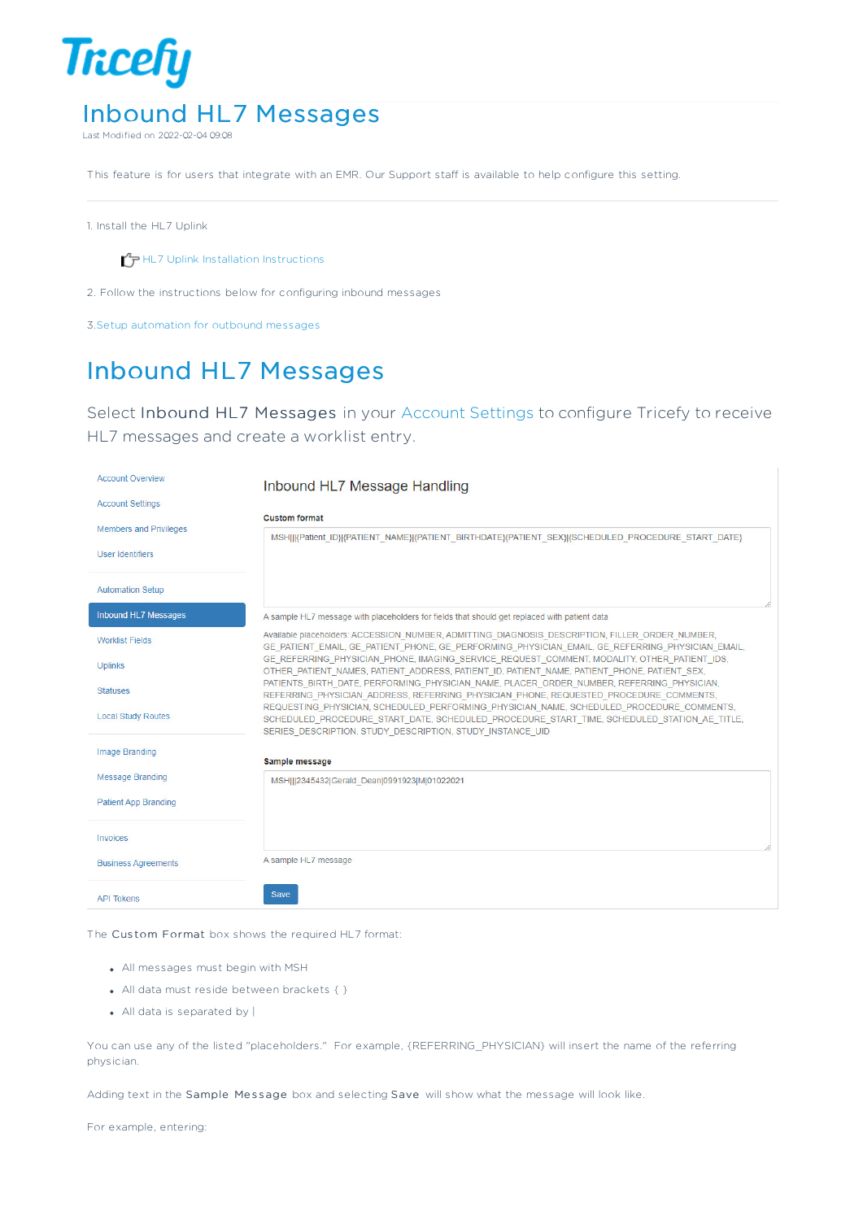

Last Modified on 2022-02-04 09:08

This feature is for users that integrate with an EMR. Our Support staff is available to help configure this setting.

1. Install the HL7 Uplink

 $\mathcal{T}_{\overline{P}}$  HL7 Uplink Installation Instructions

2. Follow the instructions below for configuring inbound messages

3.Setup automation for outbound messages

## Inbound HL7 Messages

Select Inbound HL7 Messages in your Account Settings to configure Tricefy to receive HL7 messages and create a worklist entry.

| <b>Account Overview</b>       | Inbound HL7 Message Handling                                                                                                                                                                                                                         |
|-------------------------------|------------------------------------------------------------------------------------------------------------------------------------------------------------------------------------------------------------------------------------------------------|
| <b>Account Settings</b>       |                                                                                                                                                                                                                                                      |
| <b>Members and Privileges</b> | <b>Custom format</b>                                                                                                                                                                                                                                 |
|                               | MSHIJ  Patient ID} {PATIENT NAME} {PATIENT BIRTHDATE}{PATIENT SEX} {SCHEDULED PROCEDURE START DATE}                                                                                                                                                  |
| <b>User Identifiers</b>       |                                                                                                                                                                                                                                                      |
| <b>Automation Setup</b>       |                                                                                                                                                                                                                                                      |
| Inbound HL7 Messages          | A sample HL7 message with placeholders for fields that should get replaced with patient data                                                                                                                                                         |
| <b>Worklist Fields</b>        | Available placeholders: ACCESSION NUMBER, ADMITTING DIAGNOSIS DESCRIPTION, FILLER ORDER NUMBER,<br>GE PATIENT EMAIL, GE PATIENT PHONE, GE PERFORMING PHYSICIAN EMAIL, GE REFERRING PHYSICIAN EMAIL,                                                  |
| <b>Uplinks</b>                | GE REFERRING PHYSICIAN PHONE, IMAGING SERVICE REQUEST COMMENT, MODALITY, OTHER PATIENT IDS,<br>OTHER PATIENT NAMES, PATIENT ADDRESS, PATIENT ID, PATIENT NAME, PATIENT PHONE, PATIENT SEX,                                                           |
| <b>Statuses</b>               | PATIENTS BIRTH DATE, PERFORMING PHYSICIAN NAME, PLACER ORDER NUMBER, REFERRING PHYSICIAN,<br>REFERRING_PHYSICIAN_ADDRESS, REFERRING_PHYSICIAN_PHONE, REQUESTED_PROCEDURE_COMMENTS,                                                                   |
| <b>Local Study Routes</b>     | REQUESTING PHYSICIAN, SCHEDULED PERFORMING PHYSICIAN NAME, SCHEDULED PROCEDURE COMMENTS,<br>SCHEDULED_PROCEDURE_START_DATE, SCHEDULED_PROCEDURE_START_TIME, SCHEDULED_STATION_AE_TITLE,<br>SERIES DESCRIPTION, STUDY DESCRIPTION, STUDY INSTANCE UID |
| <b>Image Branding</b>         |                                                                                                                                                                                                                                                      |
| <b>Message Branding</b>       | Sample message                                                                                                                                                                                                                                       |
|                               | MSH   2345432 Gerald Dean 0991923 M 01022021                                                                                                                                                                                                         |
| <b>Patient App Branding</b>   |                                                                                                                                                                                                                                                      |
|                               |                                                                                                                                                                                                                                                      |
| Invoices                      |                                                                                                                                                                                                                                                      |
| <b>Business Agreements</b>    | A sample HL7 message                                                                                                                                                                                                                                 |
| <b>API Tokens</b>             | Save                                                                                                                                                                                                                                                 |

The Custom Format box shows the required HL7 format:

- All messages must begin with MSH
- All data must reside between brackets { }
- All data is separated by |

You can use any of the listed "placeholders." For example, {REFERRING\_PHYSICIAN} will insert the name of the referring physician.

Adding text in the Sample Message box and selecting Save will show what the message will look like.

For example, entering: